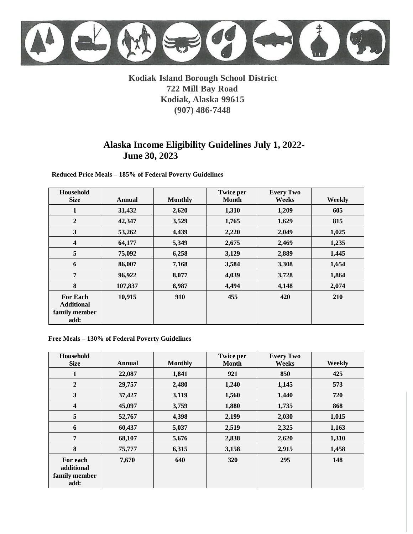# **Kodiak Island Borough School District 722 Mill Bay Road Kodiak, Alaska 99615 (907) 486-7448**

# **Alaska Income Eligibility Guidelines July 1, 2022- June 30, 2023**

 **Reduced Price Meals – 185% of Federal Poverty Guidelines**

| Household<br><b>Size</b>                                      | <b>Annual</b> | <b>Monthly</b> | <b>Twice per</b><br><b>Month</b> | <b>Every Two</b><br>Weeks | Weekly |
|---------------------------------------------------------------|---------------|----------------|----------------------------------|---------------------------|--------|
| 1                                                             | 31,432        | 2,620          | 1,310                            | 1,209                     | 605    |
| $\boldsymbol{2}$                                              | 42,347        | 3,529          | 1,765                            | 1,629                     | 815    |
| $\mathbf{3}$                                                  | 53,262        | 4,439          | 2,220                            | 2,049                     | 1,025  |
| $\overline{\mathbf{4}}$                                       | 64,177        | 5,349          | 2,675                            | 2,469                     | 1,235  |
| 5                                                             | 75,092        | 6,258          | 3,129                            | 2,889                     | 1,445  |
| 6                                                             | 86,007        | 7,168          | 3,584                            | 3,308                     | 1,654  |
| 7                                                             | 96,922        | 8,077          | 4,039                            | 3,728                     | 1,864  |
| 8                                                             | 107,837       | 8,987          | 4,494                            | 4,148                     | 2,074  |
| <b>For Each</b><br><b>Additional</b><br>family member<br>add: | 10,915        | 910            | 455                              | 420                       | 210    |

#### **Free Meals – 130% of Federal Poverty Guidelines**

| Household<br><b>Size</b>                        | <b>Annual</b> | <b>Monthly</b> | <b>Twice per</b><br><b>Month</b> | <b>Every Two</b><br>Weeks | Weekly |
|-------------------------------------------------|---------------|----------------|----------------------------------|---------------------------|--------|
| $\mathbf{1}$                                    | 22,087        | 1,841          | 921                              | 850                       | 425    |
| $\overline{2}$                                  | 29,757        | 2,480          | 1,240                            | 1,145                     | 573    |
| 3                                               | 37,427        | 3,119          | 1,560                            | 1,440                     | 720    |
| $\overline{\mathbf{4}}$                         | 45,097        | 3,759          | 1,880                            | 1,735                     | 868    |
| $\sqrt{5}$                                      | 52,767        | 4,398          | 2,199                            | 2,030                     | 1,015  |
| 6                                               | 60,437        | 5,037          | 2,519                            | 2,325                     | 1,163  |
| 7                                               | 68,107        | 5,676          | 2,838                            | 2,620                     | 1,310  |
| 8                                               | 75,777        | 6,315          | 3,158                            | 2,915                     | 1,458  |
| For each<br>additional<br>family member<br>add: | 7,670         | 640            | 320                              | 295                       | 148    |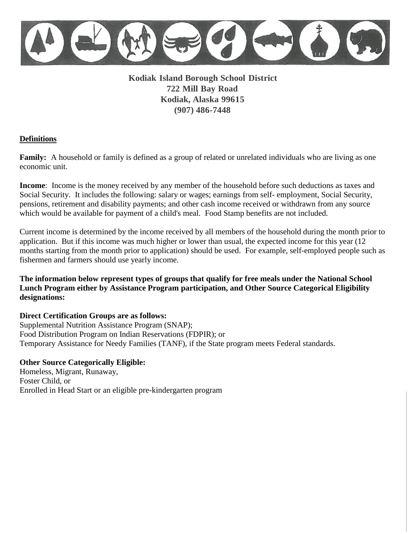**Kodiak Island Borough School District 722 Mill Bay Road Kodiak, Alaska 99615 (907) 486-7448** 

## **Definitions**

**Family:** A household or family is defined as a group of related or unrelated individuals who are living as one economic unit.

**Income**: Income is the money received by any member of the household before such deductions as taxes and Social Security. It includes the following: salary or wages; earnings from self- employment, Social Security, pensions, retirement and disability payments; and other cash income received or withdrawn from any source which would be available for payment of a child's meal. Food Stamp benefits are not included.

Current income is determined by the income received by all members of the household during the month prior to application. But if this income was much higher or lower than usual, the expected income for this year (12 months starting from the month prior to application) should be used. For example, self-employed people such as fishermen and farmers should use yearly income.

**The information below represent types of groups that qualify for free meals under the National School Lunch Program either by Assistance Program participation, and Other Source Categorical Eligibility designations:**

## **Direct Certification Groups are as follows:**

Supplemental Nutrition Assistance Program (SNAP); Food Distribution Program on Indian Reservations (FDPIR); or Temporary Assistance for Needy Families (TANF), if the State program meets Federal standards.

## **Other Source Categorically Eligible:**

Homeless, Migrant, Runaway, Foster Child, or Enrolled in Head Start or an eligible pre-kindergarten program